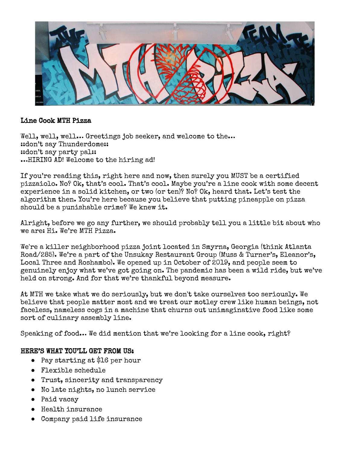

## Line Cook MTH Pizza

Well, well, well... Greetings job seeker, and welcome to the... ::don't say Thunderdome:: ::don't say party pal:: …HIRING AD! Welcome to the hiring ad!

If you're reading this, right here and now, then surely you MUST be a certified pizzaiolo. No? Ok, that's cool. That's cool. Maybe you're a line cook with some decent experience in a solid kitchen, or two (or ten)? No? Ok, heard that. Let's test the algorithm then. You're here because you believe that putting pineapple on pizza should be a punishable crime? We knew it.

Alright, before we go any further, we should probably tell you a little bit about who we are: Hi. We're MTH Pizza.

We're a killer neighborhood pizza joint located in Smyrna, Georgia (think Atlanta Road/285). We're a part of the Unsukay Restaurant Group (Muss & Turner's, Eleanor's, Local Three and Roshambo). We opened up in October of 2019, and people seem to genuinely enjoy what we've got going on. The pandemic has been a wild ride, but we've held on strong. And for that we're thankful beyond measure.

At MTH we take what we do seriously, but we don't take ourselves too seriously. We believe that people matter most and we treat our motley crew like human beings, not faceless, nameless cogs in a machine that churns out unimaginative food like some sort of culinary assembly line.

Speaking of food… We did mention that we're looking for a line cook, right?

## HERE'S WHAT YOU'LL GET FROM US:

- Pay starting at \$16 per hour
- Flexible schedule
- Trust, sincerity and transparency
- No late nights, no lunch service
- Paid vacay
- Health insurance
- Company paid life insurance